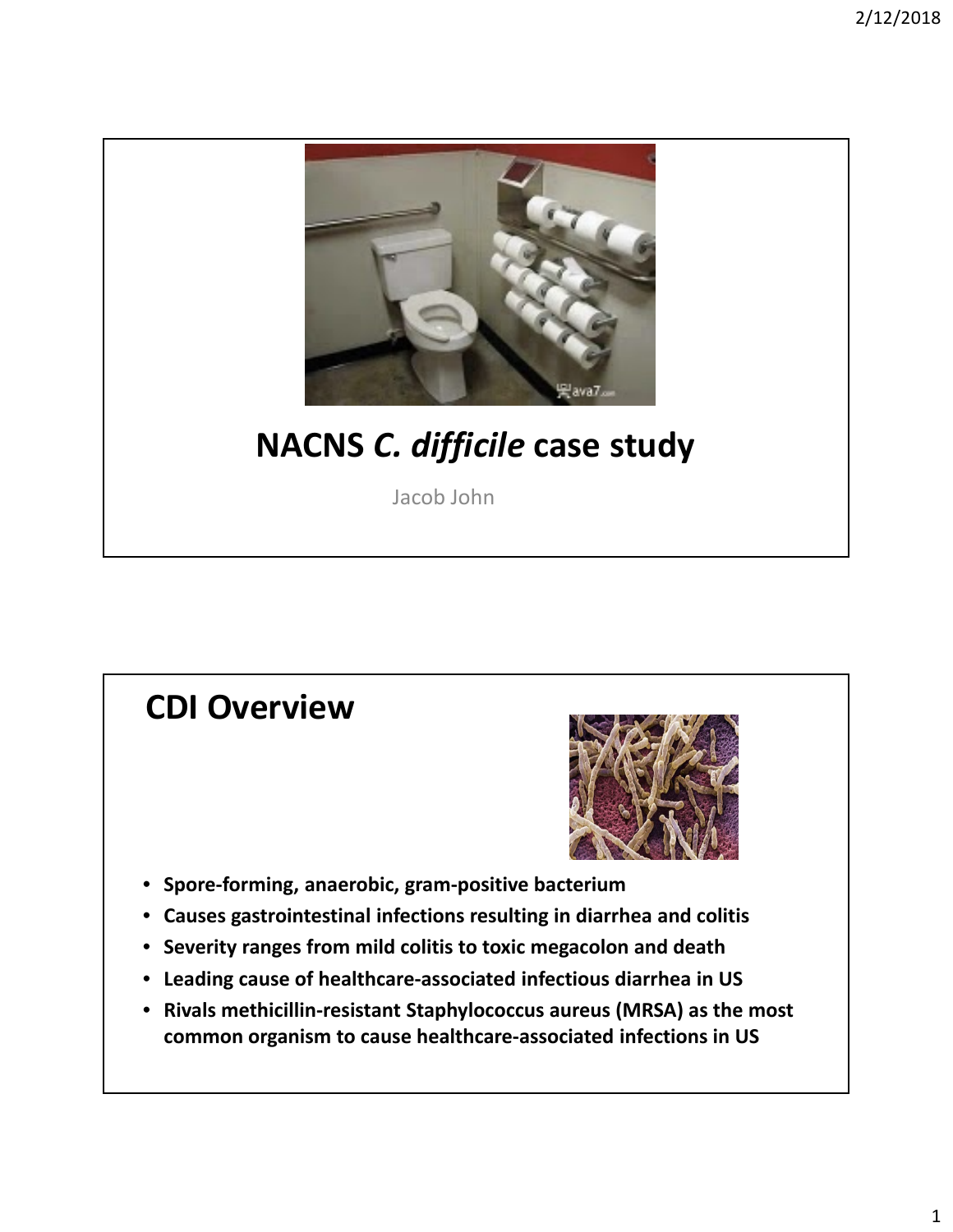

## **NACNS** *C. difficile* **case study**

Jacob John

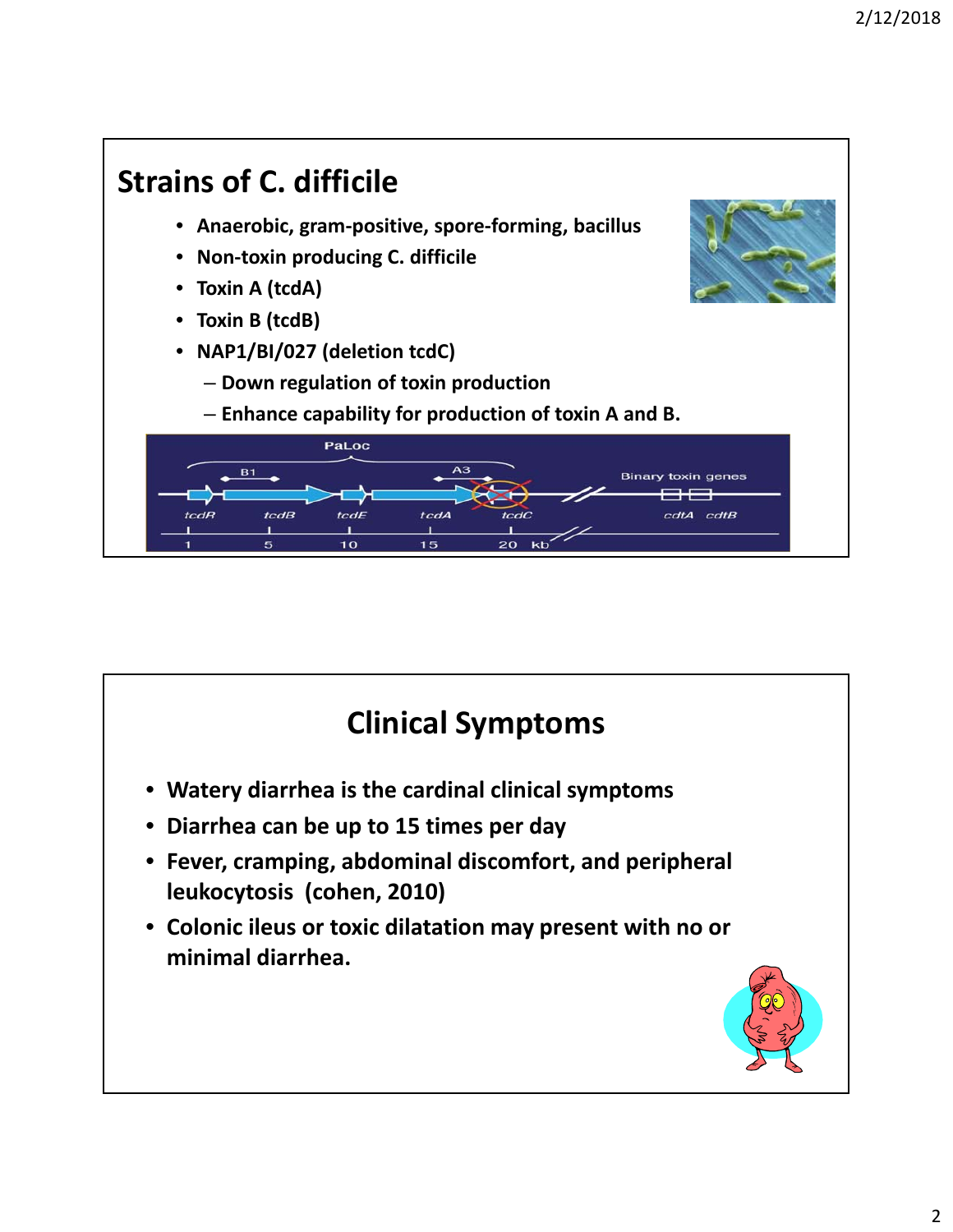

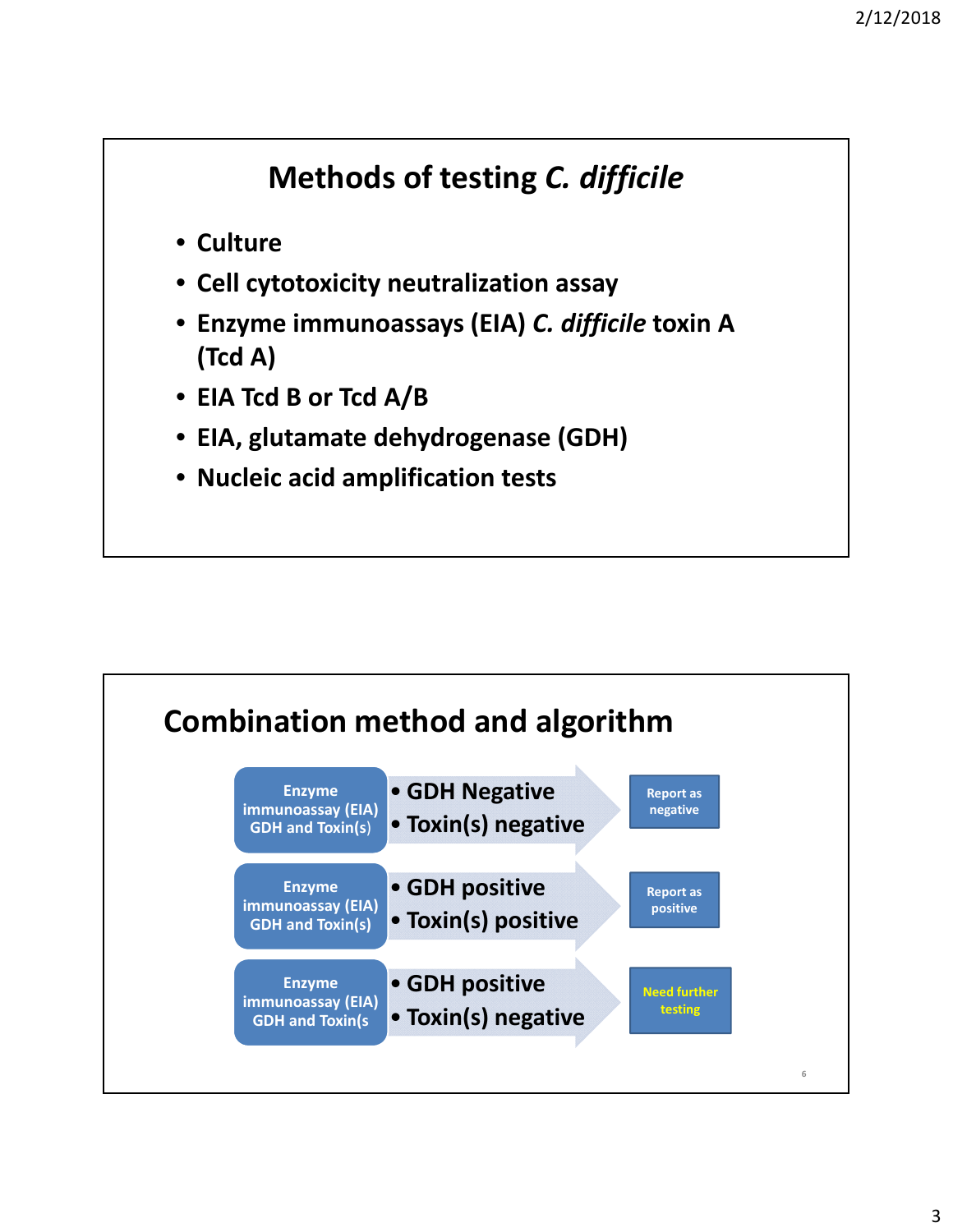## **Methods of testing** *C. difficile*

- **Culture**
- **Cell cytotoxicity neutralization assay**
- **Enzyme immunoassays (EIA)** *C. difficile* **toxin A (Tcd A)**
- **EIA Tcd B or Tcd A/B**
- **EIA, glutamate dehydrogenase (GDH)**
- **Nucleic acid amplification tests**

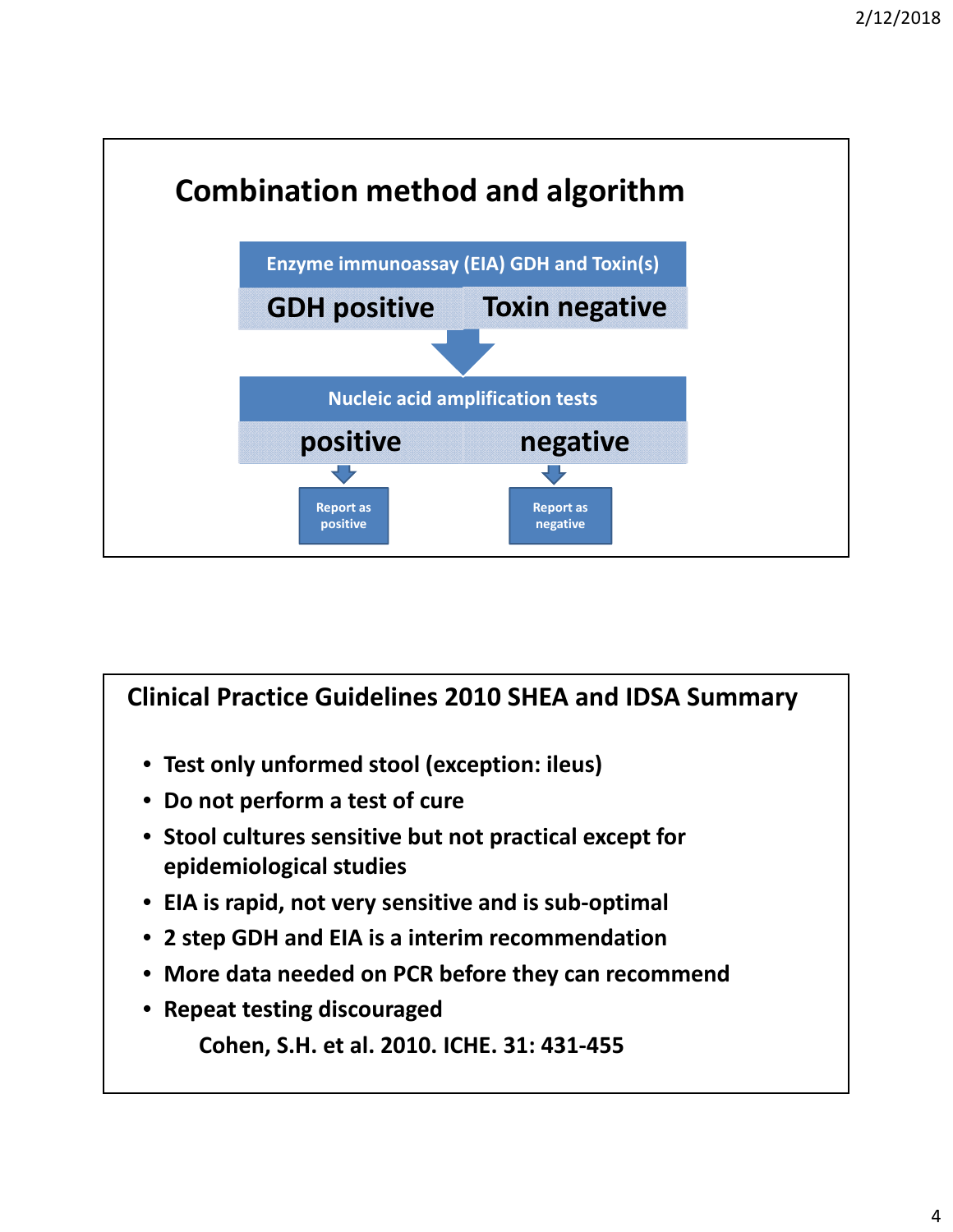

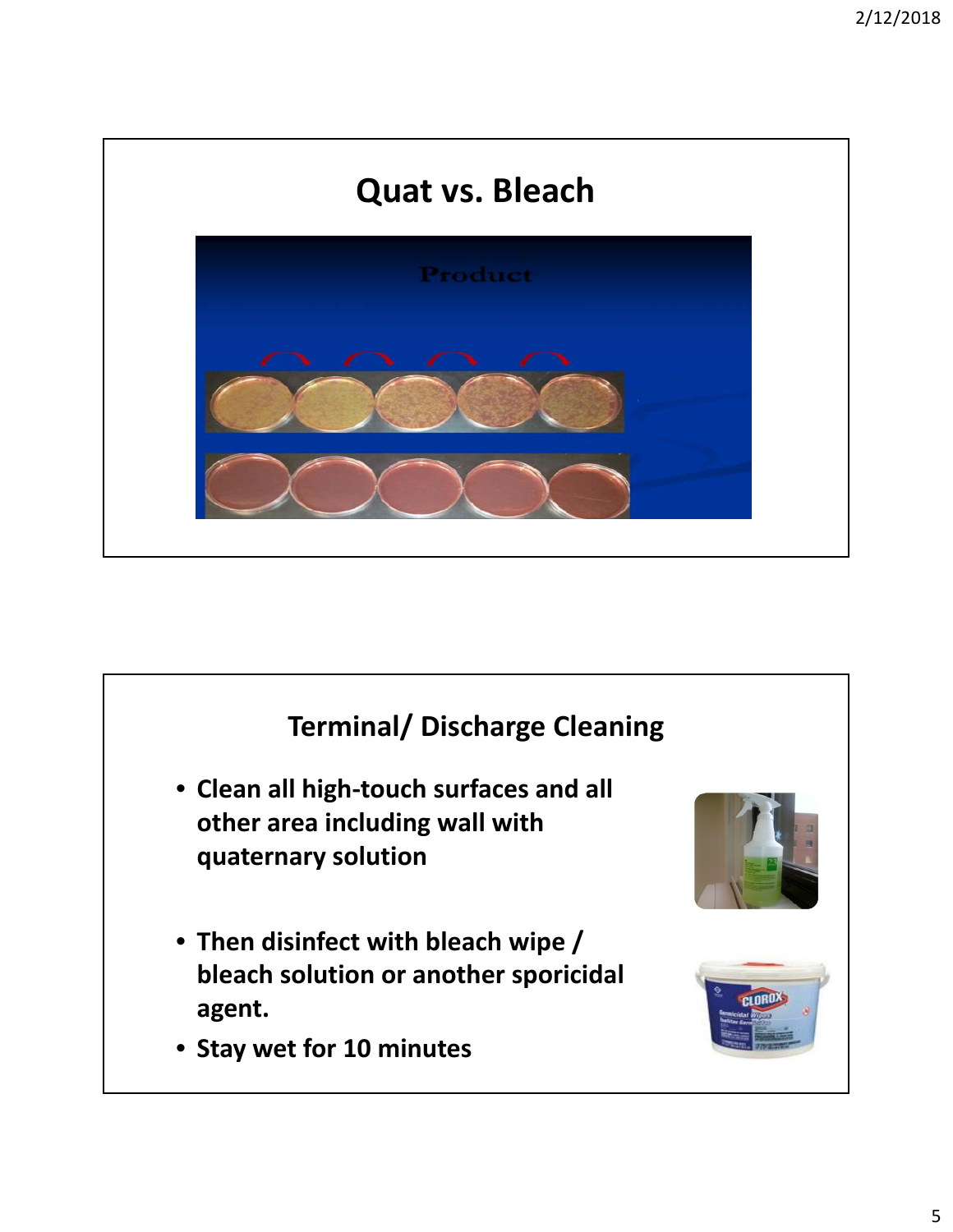